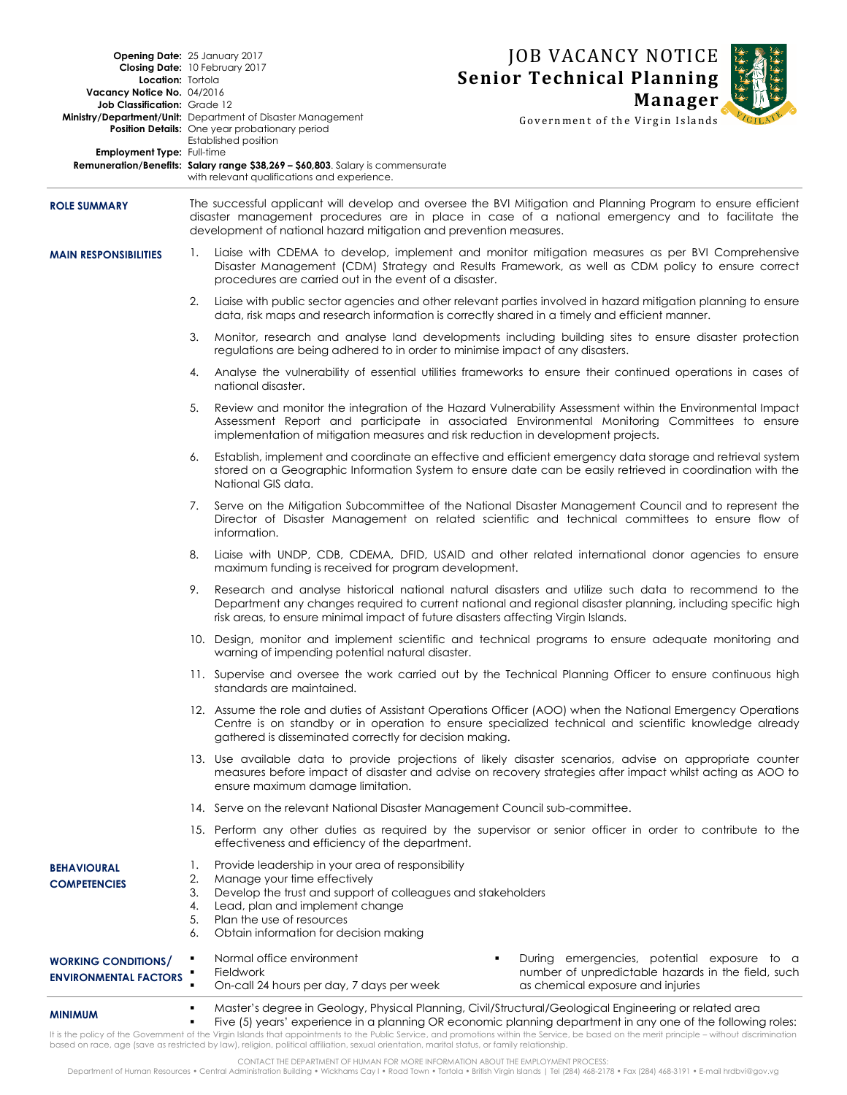| Location: Tortola<br>Vacancy Notice No. 04/2016<br>Job Classification: Grade 12<br>Employment Type: Full-time | Opening Date: 25 January 2017<br>Closing Date: 10 February 2017<br><b>Ministry/Department/Unit:</b> Department of Disaster Management<br><b>Position Details:</b> One year probationary period<br>Established position<br><b>Remuneration/Benefits: Salary range \$38,269 - \$60,803.</b> Salary is commensurate<br>with relevant qualifications and experience. |                                                                                                                                                                                                                                                                                                           | <b>JOB VACANCY NOTICE</b><br><b>Senior Technical Planning</b><br><b>Manager</b><br>Government of the Virgin Islands                                                                                                     |  |
|---------------------------------------------------------------------------------------------------------------|------------------------------------------------------------------------------------------------------------------------------------------------------------------------------------------------------------------------------------------------------------------------------------------------------------------------------------------------------------------|-----------------------------------------------------------------------------------------------------------------------------------------------------------------------------------------------------------------------------------------------------------------------------------------------------------|-------------------------------------------------------------------------------------------------------------------------------------------------------------------------------------------------------------------------|--|
| <b>ROLE SUMMARY</b>                                                                                           | The successful applicant will develop and oversee the BVI Mitigation and Planning Program to ensure efficient<br>disaster management procedures are in place in case of a national emergency and to facilitate the<br>development of national hazard mitigation and prevention measures.                                                                         |                                                                                                                                                                                                                                                                                                           |                                                                                                                                                                                                                         |  |
| <b>MAIN RESPONSIBILITIES</b>                                                                                  | $\mathbf{1}$ .                                                                                                                                                                                                                                                                                                                                                   | procedures are carried out in the event of a disaster.                                                                                                                                                                                                                                                    | Liaise with CDEMA to develop, implement and monitor mitigation measures as per BVI Comprehensive<br>Disaster Management (CDM) Strategy and Results Framework, as well as CDM policy to ensure correct                   |  |
|                                                                                                               | 2.                                                                                                                                                                                                                                                                                                                                                               | Liaise with public sector agencies and other relevant parties involved in hazard mitigation planning to ensure<br>data, risk maps and research information is correctly shared in a timely and efficient manner.                                                                                          |                                                                                                                                                                                                                         |  |
|                                                                                                               | 3.                                                                                                                                                                                                                                                                                                                                                               | regulations are being adhered to in order to minimise impact of any disasters.                                                                                                                                                                                                                            | Monitor, research and analyse land developments including building sites to ensure disaster protection                                                                                                                  |  |
|                                                                                                               | 4.                                                                                                                                                                                                                                                                                                                                                               | national disaster.                                                                                                                                                                                                                                                                                        | Analyse the vulnerability of essential utilities frameworks to ensure their continued operations in cases of                                                                                                            |  |
|                                                                                                               | 5.                                                                                                                                                                                                                                                                                                                                                               | implementation of mitigation measures and risk reduction in development projects.                                                                                                                                                                                                                         | Review and monitor the integration of the Hazard Vulnerability Assessment within the Environmental Impact<br>Assessment Report and participate in associated Environmental Monitoring Committees to ensure              |  |
|                                                                                                               | 6.                                                                                                                                                                                                                                                                                                                                                               | National GIS data.                                                                                                                                                                                                                                                                                        | Establish, implement and coordinate an effective and efficient emergency data storage and retrieval system<br>stored on a Geographic Information System to ensure date can be easily retrieved in coordination with the |  |
|                                                                                                               | 7.                                                                                                                                                                                                                                                                                                                                                               | information.                                                                                                                                                                                                                                                                                              | Serve on the Mitigation Subcommittee of the National Disaster Management Council and to represent the<br>Director of Disaster Management on related scientific and technical committees to ensure flow of               |  |
|                                                                                                               | 8.                                                                                                                                                                                                                                                                                                                                                               | maximum funding is received for program development.                                                                                                                                                                                                                                                      | Liaise with UNDP, CDB, CDEMA, DFID, USAID and other related international donor agencies to ensure                                                                                                                      |  |
|                                                                                                               | 9.                                                                                                                                                                                                                                                                                                                                                               | Research and analyse historical national natural disasters and utilize such data to recommend to the<br>Department any changes required to current national and regional disaster planning, including specific high<br>risk areas, to ensure minimal impact of future disasters affecting Virgin Islands. |                                                                                                                                                                                                                         |  |
|                                                                                                               |                                                                                                                                                                                                                                                                                                                                                                  | warning of impending potential natural disaster.                                                                                                                                                                                                                                                          | 10. Design, monitor and implement scientific and technical programs to ensure adequate monitoring and                                                                                                                   |  |
|                                                                                                               |                                                                                                                                                                                                                                                                                                                                                                  | standards are maintained.                                                                                                                                                                                                                                                                                 | 11. Supervise and oversee the work carried out by the Technical Planning Officer to ensure continuous high                                                                                                              |  |
|                                                                                                               |                                                                                                                                                                                                                                                                                                                                                                  | 12. Assume the role and duties of Assistant Operations Officer (AOO) when the National Emergency Operations<br>Centre is on standby or in operation to ensure specialized technical and scientific knowledge already<br>gathered is disseminated correctly for decision making.                           |                                                                                                                                                                                                                         |  |
|                                                                                                               |                                                                                                                                                                                                                                                                                                                                                                  | 13. Use available data to provide projections of likely disaster scenarios, advise on appropriate counter<br>measures before impact of disaster and advise on recovery strategies after impact whilst acting as AOO to<br>ensure maximum damage limitation.                                               |                                                                                                                                                                                                                         |  |
|                                                                                                               | 14. Serve on the relevant National Disaster Management Council sub-committee.                                                                                                                                                                                                                                                                                    |                                                                                                                                                                                                                                                                                                           |                                                                                                                                                                                                                         |  |
|                                                                                                               |                                                                                                                                                                                                                                                                                                                                                                  | 15. Perform any other duties as required by the supervisor or senior officer in order to contribute to the<br>effectiveness and efficiency of the department.                                                                                                                                             |                                                                                                                                                                                                                         |  |
| <b>BEHAVIOURAL</b><br><b>COMPETENCIES</b>                                                                     | 1.<br>2.<br>3.<br>4.<br>5.<br>6.                                                                                                                                                                                                                                                                                                                                 | Provide leadership in your area of responsibility<br>Manage your time effectively<br>Develop the trust and support of colleagues and stakeholders<br>Lead, plan and implement change<br>Plan the use of resources<br>Obtain information for decision making                                               |                                                                                                                                                                                                                         |  |
| <b>WORKING CONDITIONS/</b><br><b>ENVIRONMENTAL FACTORS</b>                                                    | ٠<br>٠                                                                                                                                                                                                                                                                                                                                                           | Normal office environment<br>Fieldwork<br>On-call 24 hours per day, 7 days per week                                                                                                                                                                                                                       | During emergencies, potential exposure to a<br>٠<br>number of unpredictable hazards in the field, such<br>as chemical exposure and injuries                                                                             |  |
| <b>MINIMUM</b>                                                                                                | ٠<br>٠                                                                                                                                                                                                                                                                                                                                                           |                                                                                                                                                                                                                                                                                                           | Master's degree in Geology, Physical Planning, Civil/Structural/Geological Engineering or related area<br>Five (5) years' experience in a planning OR economic planning department in any one of the following roles:   |  |

It is the policy of the Govemment of the Virgin Islands that appointments to the Public Service, and promotions within the Service, be based on the merit principle – without discrimination<br>based on race, age (save as restr

CONTACT THE DEPARTMENT OF HUMAN FOR MORE INFORMATION ABOUT THE EMPLOYMENT PROCESS:<br>Department of Human Resources • Central Administration Building • Wickhams Cay I • Road Town • Tortola • British Virgin Islands | Tel (284)